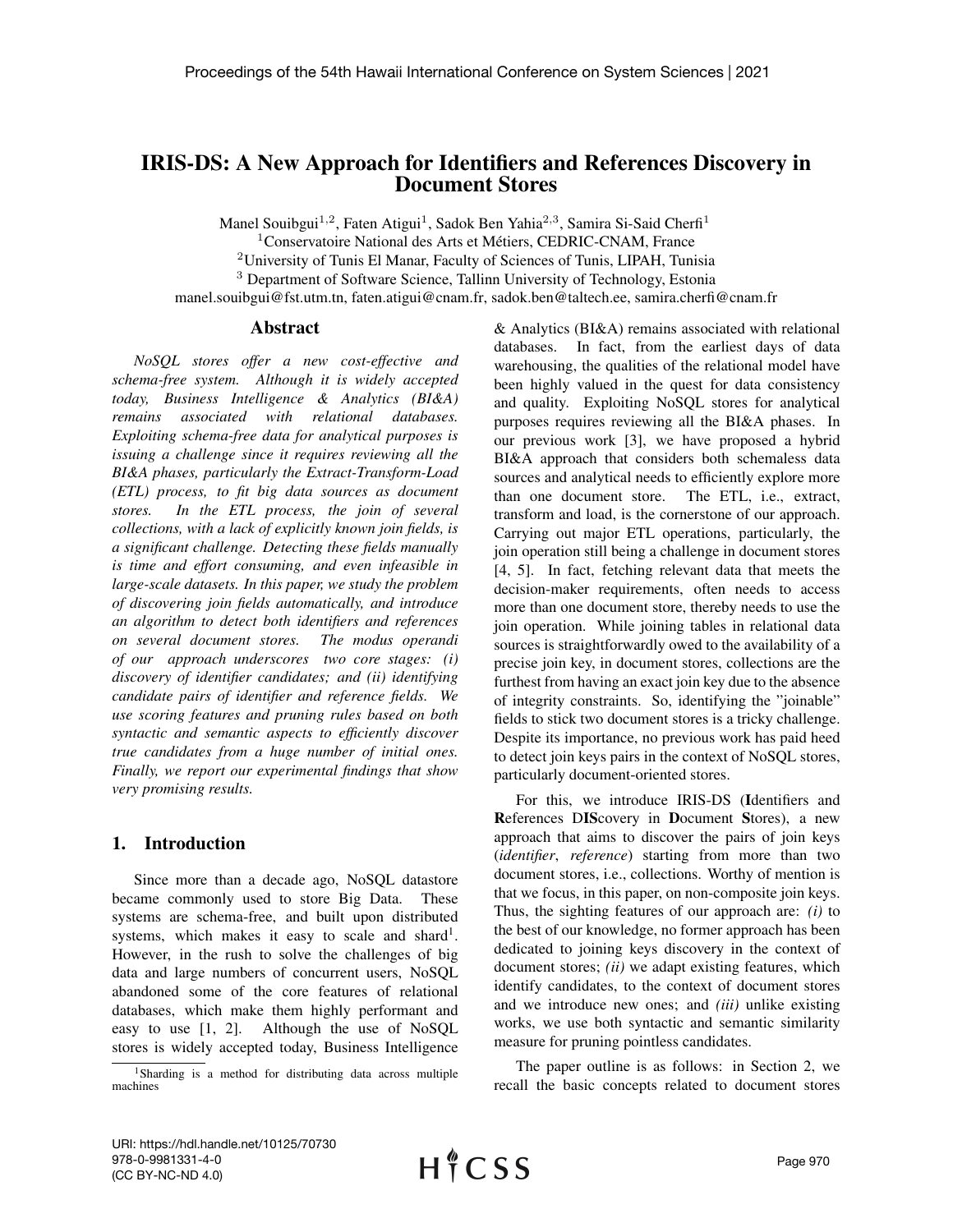# IRIS-DS: A New Approach for Identifiers and References Discovery in Document Stores

Manel Souibgui<sup>1,2</sup>, Faten Atigui<sup>1</sup>, Sadok Ben Yahia<sup>2,3</sup>, Samira Si-Said Cherfi<sup>1</sup>

<sup>1</sup>Conservatoire National des Arts et Métiers, CEDRIC-CNAM, France

<sup>2</sup>University of Tunis El Manar, Faculty of Sciences of Tunis, LIPAH, Tunisia

<sup>3</sup> Department of Software Science, Tallinn University of Technology, Estonia

manel.souibgui@fst.utm.tn, faten.atigui@cnam.fr, sadok.ben@taltech.ee, samira.cherfi@cnam.fr

#### Abstract

*NoSQL stores offer a new cost-effective and schema-free system. Although it is widely accepted today, Business Intelligence & Analytics (BI&A) remains associated with relational databases. Exploiting schema-free data for analytical purposes is issuing a challenge since it requires reviewing all the BI&A phases, particularly the Extract-Transform-Load (ETL) process, to fit big data sources as document stores. In the ETL process, the join of several collections, with a lack of explicitly known join fields, is a significant challenge. Detecting these fields manually is time and effort consuming, and even infeasible in large-scale datasets. In this paper, we study the problem of discovering join fields automatically, and introduce an algorithm to detect both identifiers and references on several document stores. The modus operandi of our approach underscores two core stages: (i) discovery of identifier candidates; and (ii) identifying candidate pairs of identifier and reference fields. We use scoring features and pruning rules based on both syntactic and semantic aspects to efficiently discover true candidates from a huge number of initial ones. Finally, we report our experimental findings that show very promising results.*

#### 1. Introduction

Since more than a decade ago, NoSQL datastore became commonly used to store Big Data. These systems are schema-free, and built upon distributed systems, which makes it easy to scale and shard<sup>1</sup>. However, in the rush to solve the challenges of big data and large numbers of concurrent users, NoSQL abandoned some of the core features of relational databases, which make them highly performant and easy to use [\[1,](#page-9-0) [2\]](#page-9-1). Although the use of NoSQL stores is widely accepted today, Business Intelligence

& Analytics (BI&A) remains associated with relational databases. In fact, from the earliest days of data warehousing, the qualities of the relational model have been highly valued in the quest for data consistency and quality. Exploiting NoSQL stores for analytical purposes requires reviewing all the BI&A phases. In our previous work [\[3\]](#page-9-2), we have proposed a hybrid BI&A approach that considers both schemaless data sources and analytical needs to efficiently explore more than one document store. The ETL, i.e., extract, transform and load, is the cornerstone of our approach. Carrying out major ETL operations, particularly, the join operation still being a challenge in document stores [\[4,](#page-9-3) [5\]](#page-9-4). In fact, fetching relevant data that meets the decision-maker requirements, often needs to access more than one document store, thereby needs to use the join operation. While joining tables in relational data sources is straightforwardly owed to the availability of a precise join key, in document stores, collections are the furthest from having an exact join key due to the absence of integrity constraints. So, identifying the "joinable" fields to stick two document stores is a tricky challenge. Despite its importance, no previous work has paid heed to detect join keys pairs in the context of NoSQL stores, particularly document-oriented stores.

For this, we introduce IRIS-DS (Identifiers and References DIScovery in Document Stores), a new approach that aims to discover the pairs of join keys (*identifier*, *reference*) starting from more than two document stores, i.e., collections. Worthy of mention is that we focus, in this paper, on non-composite join keys. Thus, the sighting features of our approach are: *(i)* to the best of our knowledge, no former approach has been dedicated to joining keys discovery in the context of document stores; *(ii)* we adapt existing features, which identify candidates, to the context of document stores and we introduce new ones; and *(iii)* unlike existing works, we use both syntactic and semantic similarity measure for pruning pointless candidates.

The paper outline is as follows: in Section [2,](#page-1-0) we recall the basic concepts related to document stores

<sup>1</sup>Sharding is a method for distributing data across multiple machines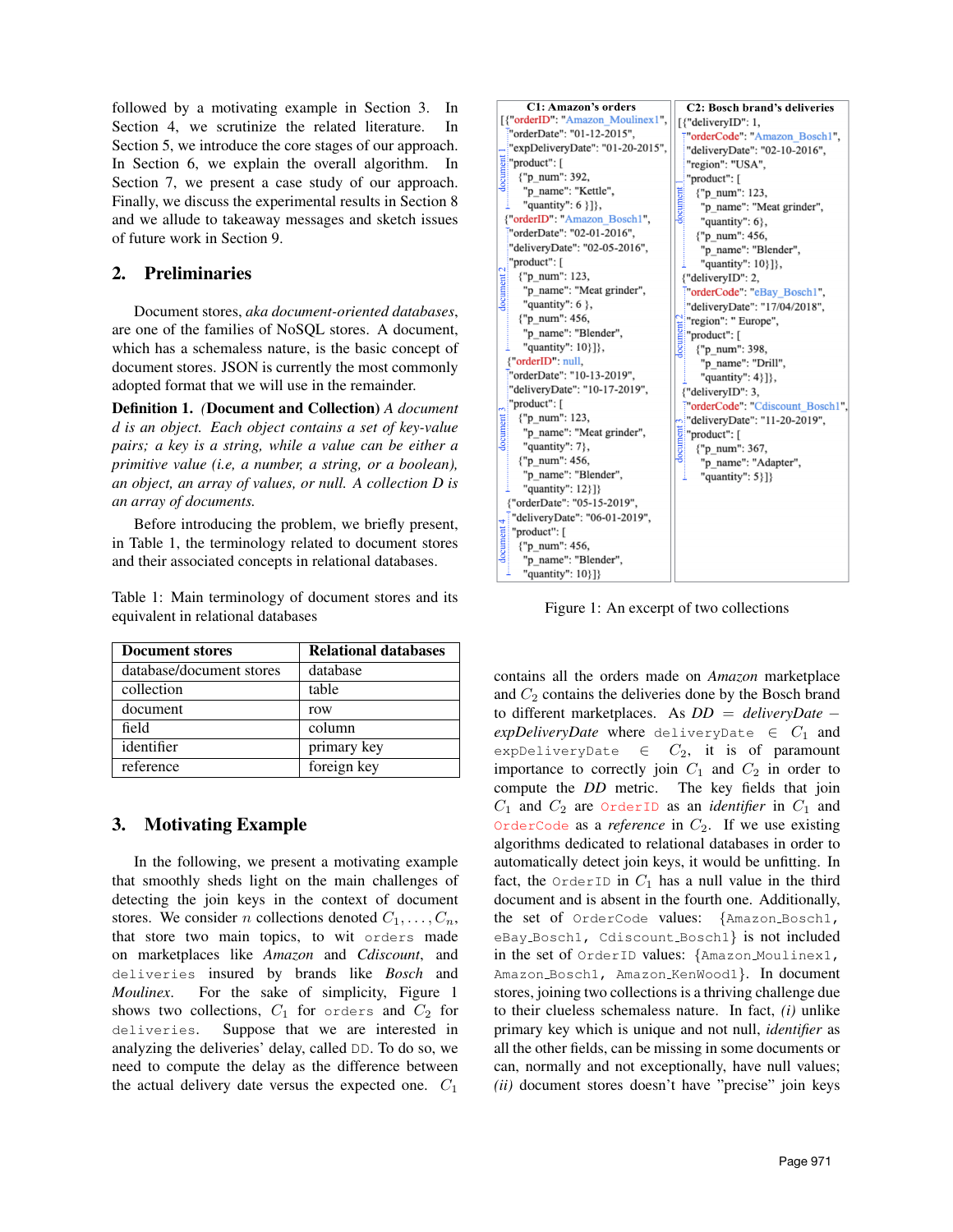followed by a motivating example in Section [3.](#page-1-1) In Section [4,](#page-2-0) we scrutinize the related literature. In Section [5,](#page-3-0) we introduce the core stages of our approach. In Section [6,](#page-5-0) we explain the overall algorithm. In Section [7,](#page-6-0) we present a case study of our approach. Finally, we discuss the experimental results in Section [8](#page-7-0) and we allude to takeaway messages and sketch issues of future work in Section [9.](#page-8-0)

### <span id="page-1-0"></span>2. Preliminaries

Document stores, *aka document-oriented databases*, are one of the families of NoSQL stores. A document, which has a schemaless nature, is the basic concept of document stores. JSON is currently the most commonly adopted format that we will use in the remainder.

Definition 1. *(*Document and Collection) *A document d is an object. Each object contains a set of key-value pairs; a key is a string, while a value can be either a primitive value (i.e, a number, a string, or a boolean), an object, an array of values, or null. A collection D is an array of documents.*

Before introducing the problem, we briefly present, in Table [1,](#page-1-2) the terminology related to document stores and their associated concepts in relational databases.

<span id="page-1-2"></span>Table 1: Main terminology of document stores and its equivalent in relational databases

| <b>Document stores</b>   | <b>Relational databases</b> |
|--------------------------|-----------------------------|
| database/document stores | database                    |
| collection               | table                       |
| document                 | row                         |
| field                    | column                      |
| identifier               | primary key                 |
| reference                | foreign key                 |

## <span id="page-1-1"></span>3. Motivating Example

In the following, we present a motivating example that smoothly sheds light on the main challenges of detecting the join keys in the context of document stores. We consider *n* collections denoted  $C_1, \ldots, C_n$ , that store two main topics, to wit orders made on marketplaces like *Amazon* and *Cdiscount*, and deliveries insured by brands like *Bosch* and *Moulinex*. For the sake of simplicity, Figure [1](#page-1-3) shows two collections,  $C_1$  for orders and  $C_2$  for deliveries. Suppose that we are interested in analyzing the deliveries' delay, called DD. To do so, we need to compute the delay as the difference between the actual delivery date versus the expected one.  $C_1$ 

<span id="page-1-3"></span>

Figure 1: An excerpt of two collections

contains all the orders made on *Amazon* marketplace and  $C_2$  contains the deliveries done by the Bosch brand to different marketplaces. As *DD* = *deliveryDate* −  $expDeliveryDate$  where deliveryDate  $\in C_1$  and expDeliveryDate  $\in$   $C_2$ , it is of paramount importance to correctly join  $C_1$  and  $C_2$  in order to compute the *DD* metric. The key fields that join  $C_1$  and  $C_2$  are  $OrderID$  as an *identifier* in  $C_1$  and OrderCode as a *reference* in  $C_2$ . If we use existing algorithms dedicated to relational databases in order to automatically detect join keys, it would be unfitting. In fact, the OrderID in  $C_1$  has a null value in the third document and is absent in the fourth one. Additionally, the set of OrderCode values: {Amazon Bosch1, eBay Bosch1, Cdiscount Bosch1} is not included in the set of OrderID values: {Amazon Moulinex1, Amazon\_Bosch1, Amazon\_KenWood1}. In document stores, joining two collections is a thriving challenge due to their clueless schemaless nature. In fact, *(i)* unlike primary key which is unique and not null, *identifier* as all the other fields, can be missing in some documents or can, normally and not exceptionally, have null values; *(ii)* document stores doesn't have "precise" join keys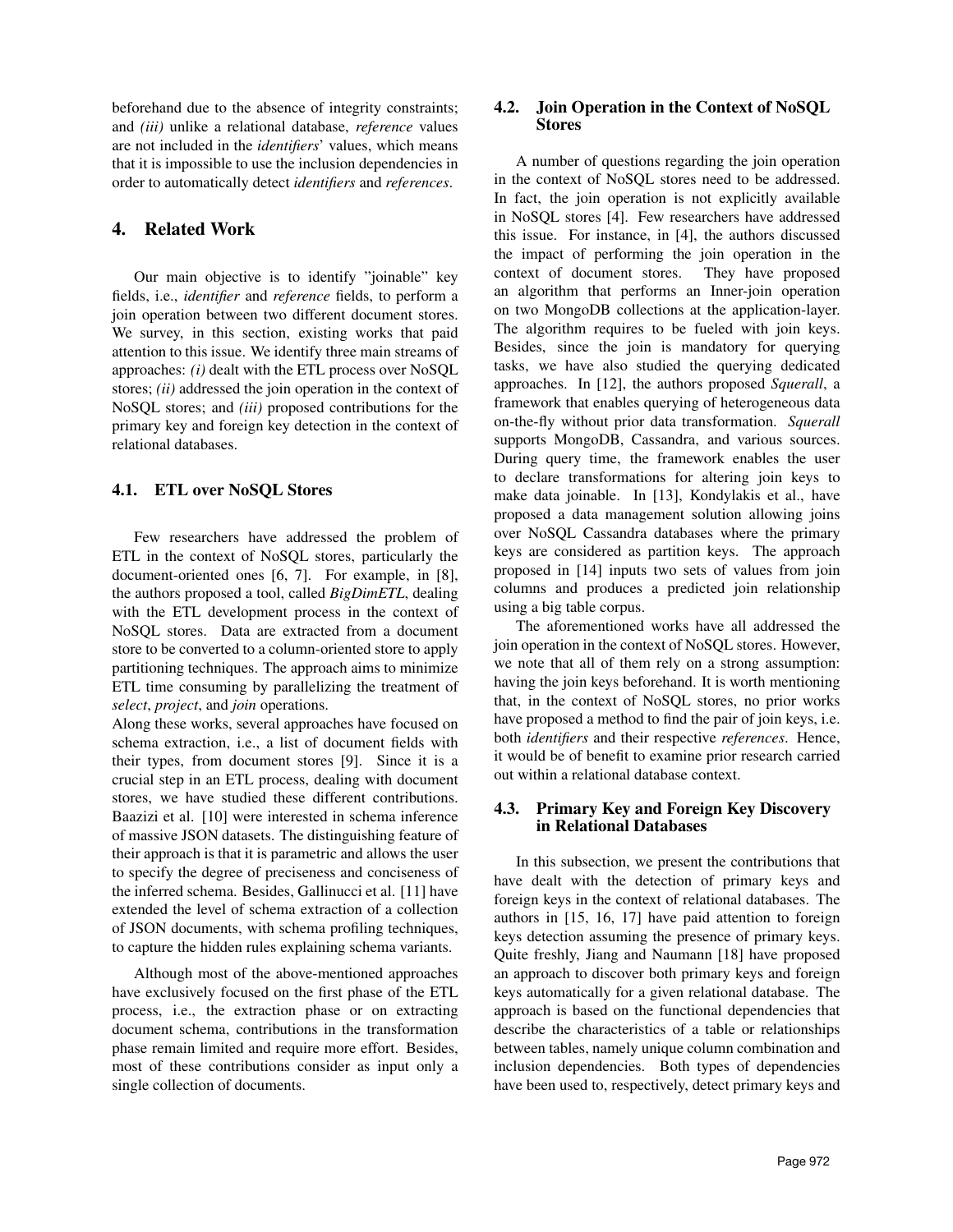beforehand due to the absence of integrity constraints; and *(iii)* unlike a relational database, *reference* values are not included in the *identifiers*' values, which means that it is impossible to use the inclusion dependencies in order to automatically detect *identifiers* and *references*.

### <span id="page-2-0"></span>4. Related Work

Our main objective is to identify "joinable" key fields, i.e., *identifier* and *reference* fields, to perform a join operation between two different document stores. We survey, in this section, existing works that paid attention to this issue. We identify three main streams of approaches: *(i)* dealt with the ETL process over NoSQL stores; *(ii)* addressed the join operation in the context of NoSQL stores; and *(iii)* proposed contributions for the primary key and foreign key detection in the context of relational databases.

### 4.1. ETL over NoSQL Stores

Few researchers have addressed the problem of ETL in the context of NoSQL stores, particularly the document-oriented ones [\[6,](#page-9-5) [7\]](#page-9-6). For example, in [\[8\]](#page-9-7), the authors proposed a tool, called *BigDimETL*, dealing with the ETL development process in the context of NoSQL stores. Data are extracted from a document store to be converted to a column-oriented store to apply partitioning techniques. The approach aims to minimize ETL time consuming by parallelizing the treatment of *select*, *project*, and *join* operations.

Along these works, several approaches have focused on schema extraction, i.e., a list of document fields with their types, from document stores [\[9\]](#page-9-8). Since it is a crucial step in an ETL process, dealing with document stores, we have studied these different contributions. Baazizi et al. [\[10\]](#page-9-9) were interested in schema inference of massive JSON datasets. The distinguishing feature of their approach is that it is parametric and allows the user to specify the degree of preciseness and conciseness of the inferred schema. Besides, Gallinucci et al. [\[11\]](#page-9-10) have extended the level of schema extraction of a collection of JSON documents, with schema profiling techniques, to capture the hidden rules explaining schema variants.

Although most of the above-mentioned approaches have exclusively focused on the first phase of the ETL process, i.e., the extraction phase or on extracting document schema, contributions in the transformation phase remain limited and require more effort. Besides, most of these contributions consider as input only a single collection of documents.

### 4.2. Join Operation in the Context of NoSQL Stores

A number of questions regarding the join operation in the context of NoSQL stores need to be addressed. In fact, the join operation is not explicitly available in NoSQL stores [\[4\]](#page-9-3). Few researchers have addressed this issue. For instance, in [\[4\]](#page-9-3), the authors discussed the impact of performing the join operation in the context of document stores. They have proposed an algorithm that performs an Inner-join operation on two MongoDB collections at the application-layer. The algorithm requires to be fueled with join keys. Besides, since the join is mandatory for querying tasks, we have also studied the querying dedicated approaches. In [\[12\]](#page-9-11), the authors proposed *Squerall*, a framework that enables querying of heterogeneous data on-the-fly without prior data transformation. *Squerall* supports MongoDB, Cassandra, and various sources. During query time, the framework enables the user to declare transformations for altering join keys to make data joinable. In [\[13\]](#page-9-12), Kondylakis et al., have proposed a data management solution allowing joins over NoSQL Cassandra databases where the primary keys are considered as partition keys. The approach proposed in [\[14\]](#page-9-13) inputs two sets of values from join columns and produces a predicted join relationship using a big table corpus.

The aforementioned works have all addressed the join operation in the context of NoSQL stores. However, we note that all of them rely on a strong assumption: having the join keys beforehand. It is worth mentioning that, in the context of NoSQL stores, no prior works have proposed a method to find the pair of join keys, i.e. both *identifiers* and their respective *references*. Hence, it would be of benefit to examine prior research carried out within a relational database context.

#### 4.3. Primary Key and Foreign Key Discovery in Relational Databases

In this subsection, we present the contributions that have dealt with the detection of primary keys and foreign keys in the context of relational databases. The authors in [\[15,](#page-9-14) [16,](#page-9-15) [17\]](#page-9-16) have paid attention to foreign keys detection assuming the presence of primary keys. Quite freshly, Jiang and Naumann [\[18\]](#page-9-17) have proposed an approach to discover both primary keys and foreign keys automatically for a given relational database. The approach is based on the functional dependencies that describe the characteristics of a table or relationships between tables, namely unique column combination and inclusion dependencies. Both types of dependencies have been used to, respectively, detect primary keys and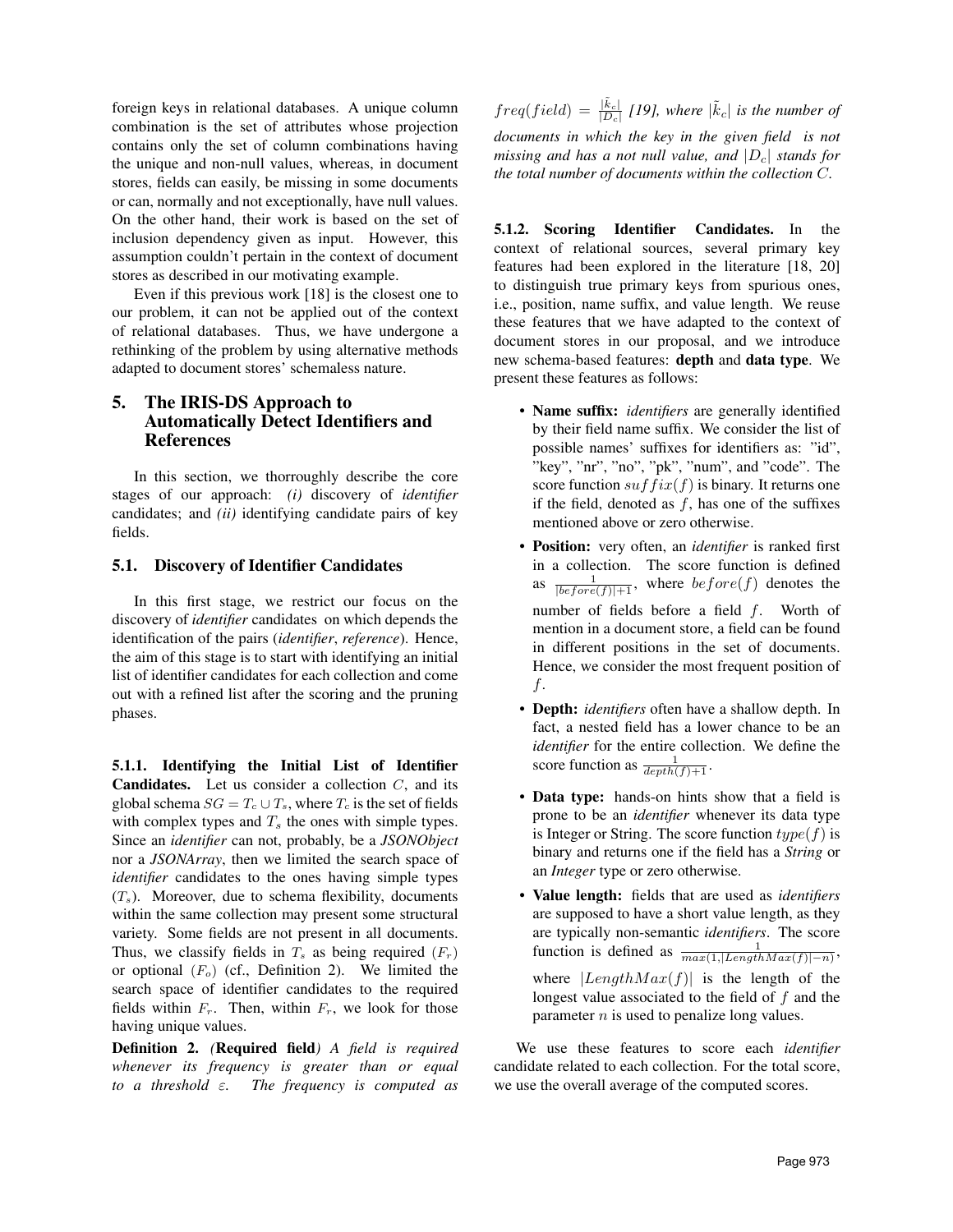foreign keys in relational databases. A unique column combination is the set of attributes whose projection contains only the set of column combinations having the unique and non-null values, whereas, in document stores, fields can easily, be missing in some documents or can, normally and not exceptionally, have null values. On the other hand, their work is based on the set of inclusion dependency given as input. However, this assumption couldn't pertain in the context of document stores as described in our motivating example.

Even if this previous work [\[18\]](#page-9-17) is the closest one to our problem, it can not be applied out of the context of relational databases. Thus, we have undergone a rethinking of the problem by using alternative methods adapted to document stores' schemaless nature.

### <span id="page-3-0"></span>5. The IRIS-DS Approach to Automatically Detect Identifiers and References

In this section, we thorroughly describe the core stages of our approach: *(i)* discovery of *identifier* candidates; and *(ii)* identifying candidate pairs of key fields.

#### 5.1. Discovery of Identifier Candidates

In this first stage, we restrict our focus on the discovery of *identifier* candidates on which depends the identification of the pairs (*identifier*, *reference*). Hence, the aim of this stage is to start with identifying an initial list of identifier candidates for each collection and come out with a refined list after the scoring and the pruning phases.

<span id="page-3-2"></span>5.1.1. Identifying the Initial List of Identifier **Candidates.** Let us consider a collection  $C$ , and its global schema  $SG = T_c \cup T_s$ , where  $T_c$  is the set of fields with complex types and  $T<sub>s</sub>$  the ones with simple types. Since an *identifier* can not, probably, be a *JSONObject* nor a *JSONArray*, then we limited the search space of *identifier* candidates to the ones having simple types  $(T_s)$ . Moreover, due to schema flexibility, documents within the same collection may present some structural variety. Some fields are not present in all documents. Thus, we classify fields in  $T_s$  as being required  $(F_r)$ or optional  $(F<sub>o</sub>)$  (cf., Definition [2\)](#page-3-1). We limited the search space of identifier candidates to the required fields within  $F_r$ . Then, within  $F_r$ , we look for those having unique values.

<span id="page-3-1"></span>Definition 2. *(*Required field*) A field is required whenever its frequency is greater than or equal to a threshold* ε*. The frequency is computed as*

 $freq(field) = \frac{|\tilde{k}_c|}{|D_c|}$  [\[19\]](#page-9-18)*, where*  $|\tilde{k}_c|$  *is the number of documents in which the key in the given field is not missing and has a not null value, and*  $|D_c|$  *stands for the total number of documents within the collection* C*.*

<span id="page-3-3"></span>5.1.2. Scoring Identifier Candidates. In the context of relational sources, several primary key features had been explored in the literature [\[18,](#page-9-17) [20\]](#page-9-19) to distinguish true primary keys from spurious ones, i.e., position, name suffix, and value length. We reuse these features that we have adapted to the context of document stores in our proposal, and we introduce new schema-based features: depth and data type. We present these features as follows:

- Name suffix: *identifiers* are generally identified by their field name suffix. We consider the list of possible names' suffixes for identifiers as: "id", "key", "nr", "no", "pk", "num", and "code". The score function  $suffix(f)$  is binary. It returns one if the field, denoted as  $f$ , has one of the suffixes mentioned above or zero otherwise.
- Position: very often, an *identifier* is ranked first in a collection. The score function is defined as  $\frac{1}{|before(f)|+1}$ , where  $before(f)$  denotes the number of fields before a field  $f$ . Worth of mention in a document store, a field can be found in different positions in the set of documents. Hence, we consider the most frequent position of f.
- Depth: *identifiers* often have a shallow depth. In fact, a nested field has a lower chance to be an *identifier* for the entire collection. We define the score function as  $\frac{1}{depth(f)+1}$ .
- Data type: hands-on hints show that a field is prone to be an *identifier* whenever its data type is Integer or String. The score function  $type(f)$  is binary and returns one if the field has a *String* or an *Integer* type or zero otherwise.
- Value length: fields that are used as *identifiers* are supposed to have a short value length, as they are typically non-semantic *identifiers*. The score function is defined as  $\frac{1}{max(1, |LengthMax(f)|-n)}$ , where  $|LengthMax(f)|$  is the length of the longest value associated to the field of f and the parameter  $n$  is used to penalize long values.

We use these features to score each *identifier* candidate related to each collection. For the total score, we use the overall average of the computed scores.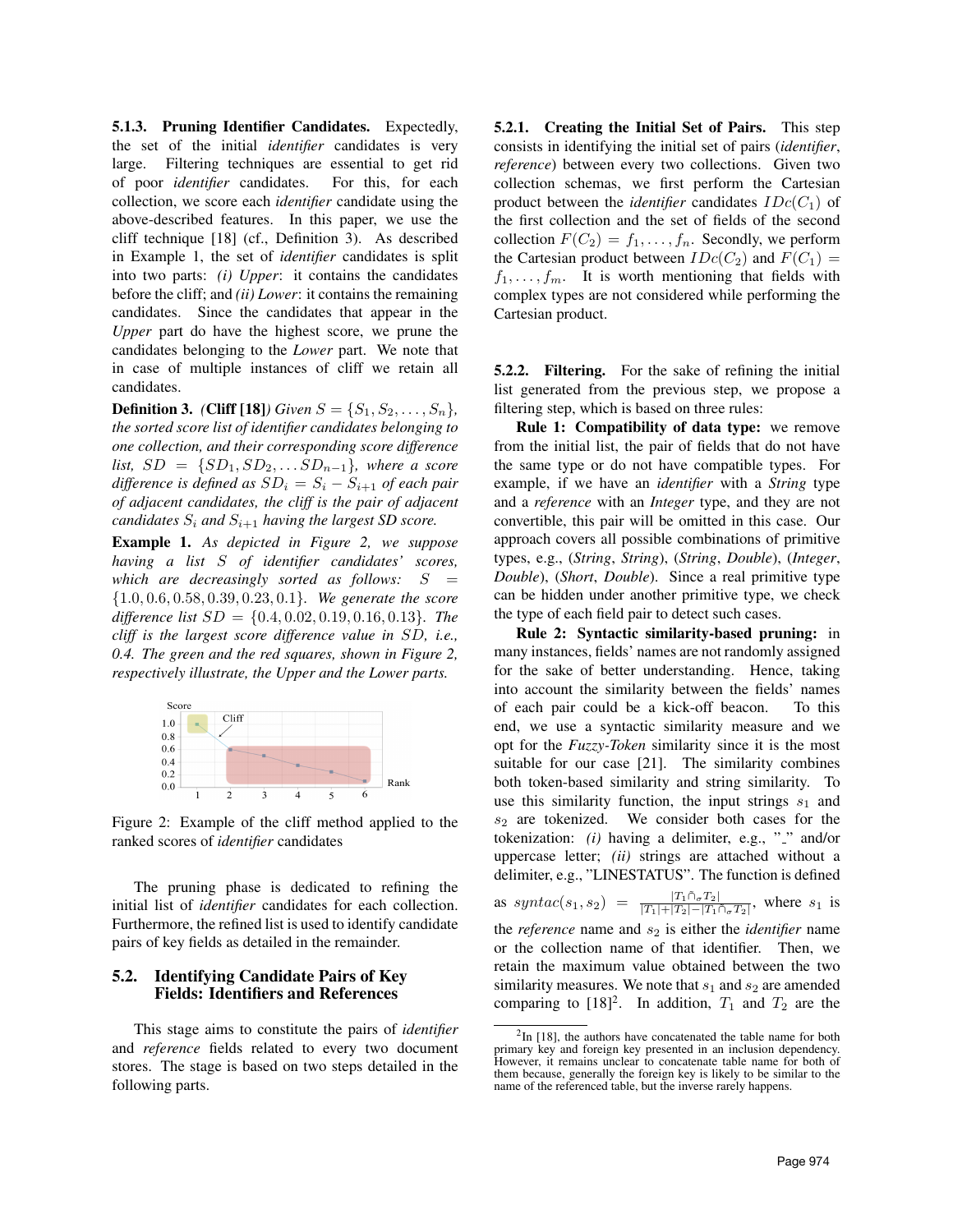5.1.3. Pruning Identifier Candidates. Expectedly, the set of the initial *identifier* candidates is very large. Filtering techniques are essential to get rid of poor *identifier* candidates. For this, for each collection, we score each *identifier* candidate using the above-described features. In this paper, we use the cliff technique [\[18\]](#page-9-17) (cf., Definition [3\)](#page-4-0). As described in Example [1,](#page-4-1) the set of *identifier* candidates is split into two parts: *(i) Upper*: it contains the candidates before the cliff; and *(ii) Lower*: it contains the remaining candidates. Since the candidates that appear in the *Upper* part do have the highest score, we prune the candidates belonging to the *Lower* part. We note that in case of multiple instances of cliff we retain all candidates.

<span id="page-4-0"></span>**Definition 3.** *(Cliff [\[18\]](#page-9-17)) Given*  $S = \{S_1, S_2, \ldots, S_n\}$ *, the sorted score list of identifier candidates belonging to one collection, and their corresponding score difference list,*  $SD = \{SD_1, SD_2, \ldots SD_{n-1}\}$ *, where a score difference is defined as*  $SD_i = S_i - S_{i+1}$  *of each pair of adjacent candidates, the cliff is the pair of adjacent candidates*  $S_i$  *and*  $S_{i+1}$  *having the largest SD score.* 

<span id="page-4-1"></span>Example 1. *As depicted in Figure [2,](#page-4-2) we suppose having a list* S *of identifier candidates' scores, which are decreasingly sorted as follows:*  $S =$ {1.0, 0.6, 0.58, 0.39, 0.23, 0.1}*. We generate the score difference list* SD = {0.4, 0.02, 0.19, 0.16, 0.13}*. The cliff is the largest score difference value in* SD*, i.e., 0.4. The green and the red squares, shown in Figure [2,](#page-4-2) respectively illustrate, the Upper and the Lower parts.*

<span id="page-4-2"></span>

Figure 2: Example of the cliff method applied to the ranked scores of *identifier* candidates

The pruning phase is dedicated to refining the initial list of *identifier* candidates for each collection. Furthermore, the refined list is used to identify candidate pairs of key fields as detailed in the remainder.

#### 5.2. Identifying Candidate Pairs of Key Fields: Identifiers and References

This stage aims to constitute the pairs of *identifier* and *reference* fields related to every two document stores. The stage is based on two steps detailed in the following parts.

5.2.1. Creating the Initial Set of Pairs. This step consists in identifying the initial set of pairs (*identifier*, *reference*) between every two collections. Given two collection schemas, we first perform the Cartesian product between the *identifier* candidates  $IDc(C_1)$  of the first collection and the set of fields of the second collection  $F(C_2) = f_1, \ldots, f_n$ . Secondly, we perform the Cartesian product between  $IDc(C_2)$  and  $F(C_1) =$  $f_1, \ldots, f_m$ . It is worth mentioning that fields with complex types are not considered while performing the Cartesian product.

5.2.2. Filtering. For the sake of refining the initial list generated from the previous step, we propose a filtering step, which is based on three rules:

Rule 1: Compatibility of data type: we remove from the initial list, the pair of fields that do not have the same type or do not have compatible types. For example, if we have an *identifier* with a *String* type and a *reference* with an *Integer* type, and they are not convertible, this pair will be omitted in this case. Our approach covers all possible combinations of primitive types, e.g., (*String*, *String*), (*String*, *Double*), (*Integer*, *Double*), (*Short*, *Double*). Since a real primitive type can be hidden under another primitive type, we check the type of each field pair to detect such cases.

Rule 2: Syntactic similarity-based pruning: in many instances, fields' names are not randomly assigned for the sake of better understanding. Hence, taking into account the similarity between the fields' names of each pair could be a kick-off beacon. To this end, we use a syntactic similarity measure and we opt for the *Fuzzy-Token* similarity since it is the most suitable for our case [\[21\]](#page-9-20). The similarity combines both token-based similarity and string similarity. To use this similarity function, the input strings  $s_1$  and  $s_2$  are tokenized. We consider both cases for the tokenization: *(i)* having a delimiter, e.g., "..." and/or uppercase letter; *(ii)* strings are attached without a delimiter, e.g., "LINESTATUS". The function is defined as syntac(s<sub>1</sub>, s<sub>2</sub>) =  $\frac{|T_1 \cap_{\sigma} T_2|}{|T_1| + |T_2| - |T_1 \cap_{\sigma} T_2|}$ , where s<sub>1</sub> is the *reference* name and  $s_2$  is either the *identifier* name or the collection name of that identifier. Then, we retain the maximum value obtained between the two similarity measures. We note that  $s_1$  and  $s_2$  are amended comparing to  $[18]^2$  $[18]^2$ . In addition,  $T_1$  and  $T_2$  are the

<sup>&</sup>lt;sup>2</sup>In [\[18\]](#page-9-17), the authors have concatenated the table name for both primary key and foreign key presented in an inclusion dependency. However, it remains unclear to concatenate table name for both of them because, generally the foreign key is likely to be similar to the name of the referenced table, but the inverse rarely happens.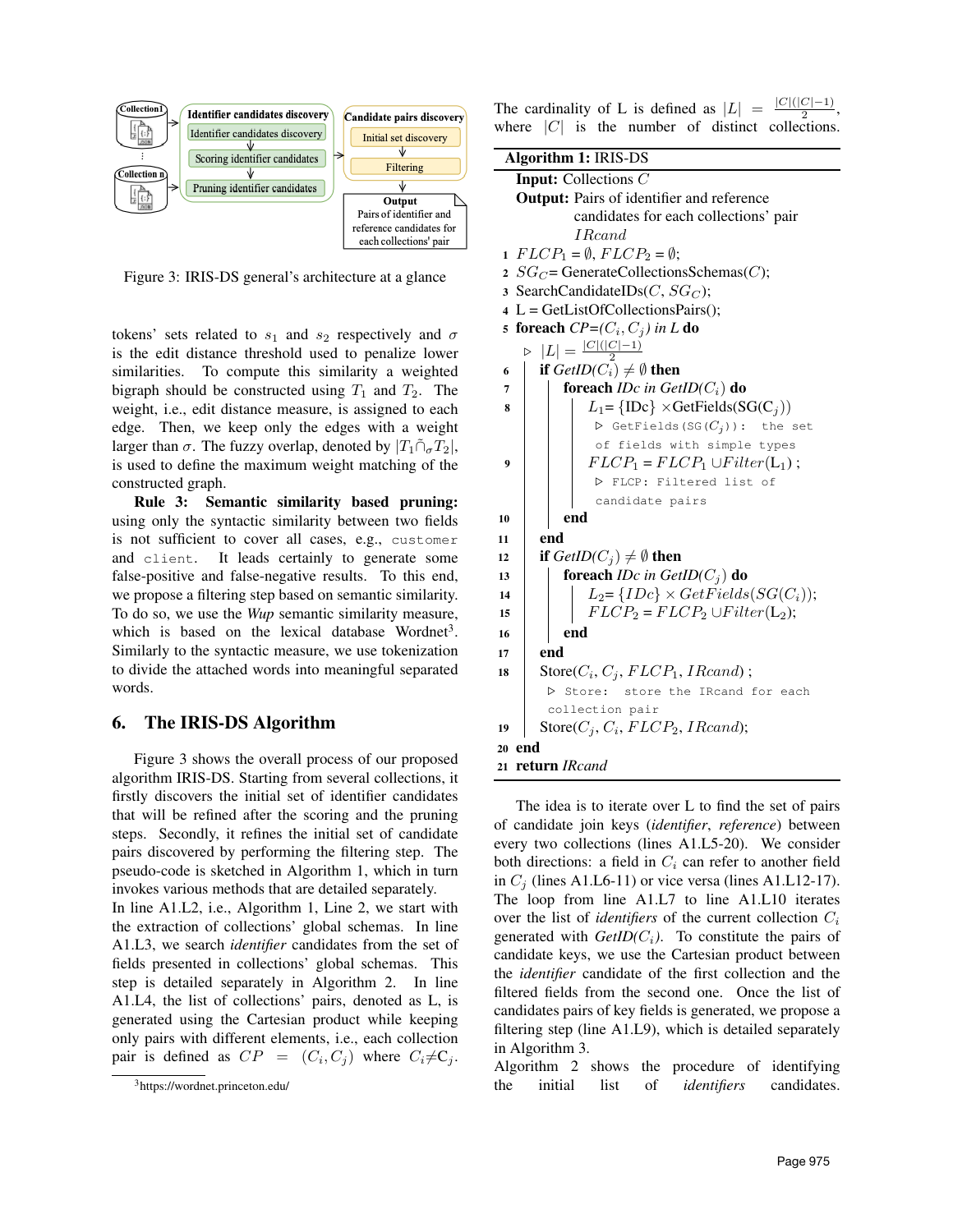<span id="page-5-1"></span>

Figure 3: IRIS-DS general's architecture at a glance

tokens' sets related to  $s_1$  and  $s_2$  respectively and  $\sigma$ is the edit distance threshold used to penalize lower similarities. To compute this similarity a weighted bigraph should be constructed using  $T_1$  and  $T_2$ . The weight, i.e., edit distance measure, is assigned to each edge. Then, we keep only the edges with a weight larger than  $\sigma$ . The fuzzy overlap, denoted by  $|T_1 \cap_{\sigma} T_2|$ , is used to define the maximum weight matching of the constructed graph.

Rule 3: Semantic similarity based pruning: using only the syntactic similarity between two fields is not sufficient to cover all cases, e.g., customer and client. It leads certainly to generate some false-positive and false-negative results. To this end, we propose a filtering step based on semantic similarity. To do so, we use the *Wup* semantic similarity measure, which is based on the lexical database Wordnet<sup>3</sup>. Similarly to the syntactic measure, we use tokenization to divide the attached words into meaningful separated words.

#### <span id="page-5-0"></span>6. The IRIS-DS Algorithm

Figure [3](#page-5-1) shows the overall process of our proposed algorithm IRIS-DS. Starting from several collections, it firstly discovers the initial set of identifier candidates that will be refined after the scoring and the pruning steps. Secondly, it refines the initial set of candidate pairs discovered by performing the filtering step. The pseudo-code is sketched in Algorithm [1,](#page-5-2) which in turn invokes various methods that are detailed separately.

In line A1.L2, i.e., Algorithm [1,](#page-5-2) Line 2, we start with the extraction of collections' global schemas. In line A1.L3, we search *identifier* candidates from the set of fields presented in collections' global schemas. This step is detailed separately in Algorithm [2.](#page-6-1) In line A1.L4, the list of collections' pairs, denoted as L, is generated using the Cartesian product while keeping only pairs with different elements, i.e., each collection pair is defined as  $CP = (C_i, C_j)$  where  $C_i \neq C_j$ .

The cardinality of L is defined as  $|L|$  =  $|C|$ ( $|C|-1$ ) where  $|C|$  is the number of distinct collections. ,

<span id="page-5-2"></span>

| <b>Algorithm 1: IRIS-DS</b>                                           |  |  |  |  |  |
|-----------------------------------------------------------------------|--|--|--|--|--|
| <b>Input:</b> Collections C                                           |  |  |  |  |  |
| <b>Output:</b> Pairs of identifier and reference                      |  |  |  |  |  |
| candidates for each collections' pair                                 |  |  |  |  |  |
| <i>I</i> Reand                                                        |  |  |  |  |  |
| $FLCP_1 = \emptyset$ , $FLCP_2 = \emptyset$ ;<br>1                    |  |  |  |  |  |
| $SG_C =$ GenerateCollectionsSchemas(C);<br>$\overline{2}$             |  |  |  |  |  |
| SearchCandidateIDs( $C, SG_C$ );<br>$\overline{\mathbf{3}}$           |  |  |  |  |  |
| $L = GetListOfCollection Pairs();$<br>$\overline{\mathbf{4}}$         |  |  |  |  |  |
| 5 foreach $CP=(C_i, C_j)$ in L do                                     |  |  |  |  |  |
| $ L  = \frac{ C ( C -1)}{2}$                                          |  |  |  |  |  |
| if $GetID(C_i) \neq \emptyset$ then<br>6                              |  |  |  |  |  |
| foreach IDc in $GetID(C_i)$ do<br>7                                   |  |  |  |  |  |
| $L_1 = \{ \text{IDc} \} \times \text{GetFields}(\text{SG}(C_i))$<br>8 |  |  |  |  |  |
| $\triangleright$ GetFields (SG( $C_i$ )): the set                     |  |  |  |  |  |
| of fields with simple types                                           |  |  |  |  |  |
| $FLCP_1 = FLCP_1 \cup Filter(L_1);$<br>9                              |  |  |  |  |  |
| D FLCP: Filtered list of                                              |  |  |  |  |  |
| candidate pairs                                                       |  |  |  |  |  |
| end<br>10                                                             |  |  |  |  |  |
| end<br>11                                                             |  |  |  |  |  |
| if $GetID(C_i) \neq \emptyset$ then<br>12                             |  |  |  |  |  |
| foreach <i>IDc</i> in $GetID(C_j)$ do<br>13                           |  |  |  |  |  |
| $L_2 = \{IDc\} \times GetFields(SG(C_i));$<br>14                      |  |  |  |  |  |
| $FLCP_2 = FLCP_2 \cup Filter(L_2);$<br>15                             |  |  |  |  |  |
| end<br>16                                                             |  |  |  |  |  |
| end<br>17                                                             |  |  |  |  |  |
| $Store(C_i, C_j, FLCP_1, IRead);$<br>18                               |  |  |  |  |  |
| Store:<br>store the IRcand for each<br>$\triangleright$               |  |  |  |  |  |
| collection pair                                                       |  |  |  |  |  |
| Store $(C_i, C_i, FLCP_2, IRead);$<br>19                              |  |  |  |  |  |
| end<br>20                                                             |  |  |  |  |  |
| 21 return IRcand                                                      |  |  |  |  |  |
|                                                                       |  |  |  |  |  |

The idea is to iterate over L to find the set of pairs of candidate join keys (*identifier*, *reference*) between every two collections (lines A1.L5-20). We consider both directions: a field in  $C_i$  can refer to another field in  $C_j$  (lines A1.L6-11) or vice versa (lines A1.L12-17). The loop from line A1.L7 to line A1.L10 iterates over the list of *identifiers* of the current collection  $C_i$ generated with  $GetID(C_i)$ . To constitute the pairs of candidate keys, we use the Cartesian product between the *identifier* candidate of the first collection and the filtered fields from the second one. Once the list of candidates pairs of key fields is generated, we propose a filtering step (line A1.L9), which is detailed separately in Algorithm [3.](#page-6-2)

Algorithm [2](#page-6-1) shows the procedure of identifying the initial list of *identifiers* candidates.

<sup>3</sup>https://wordnet.princeton.edu/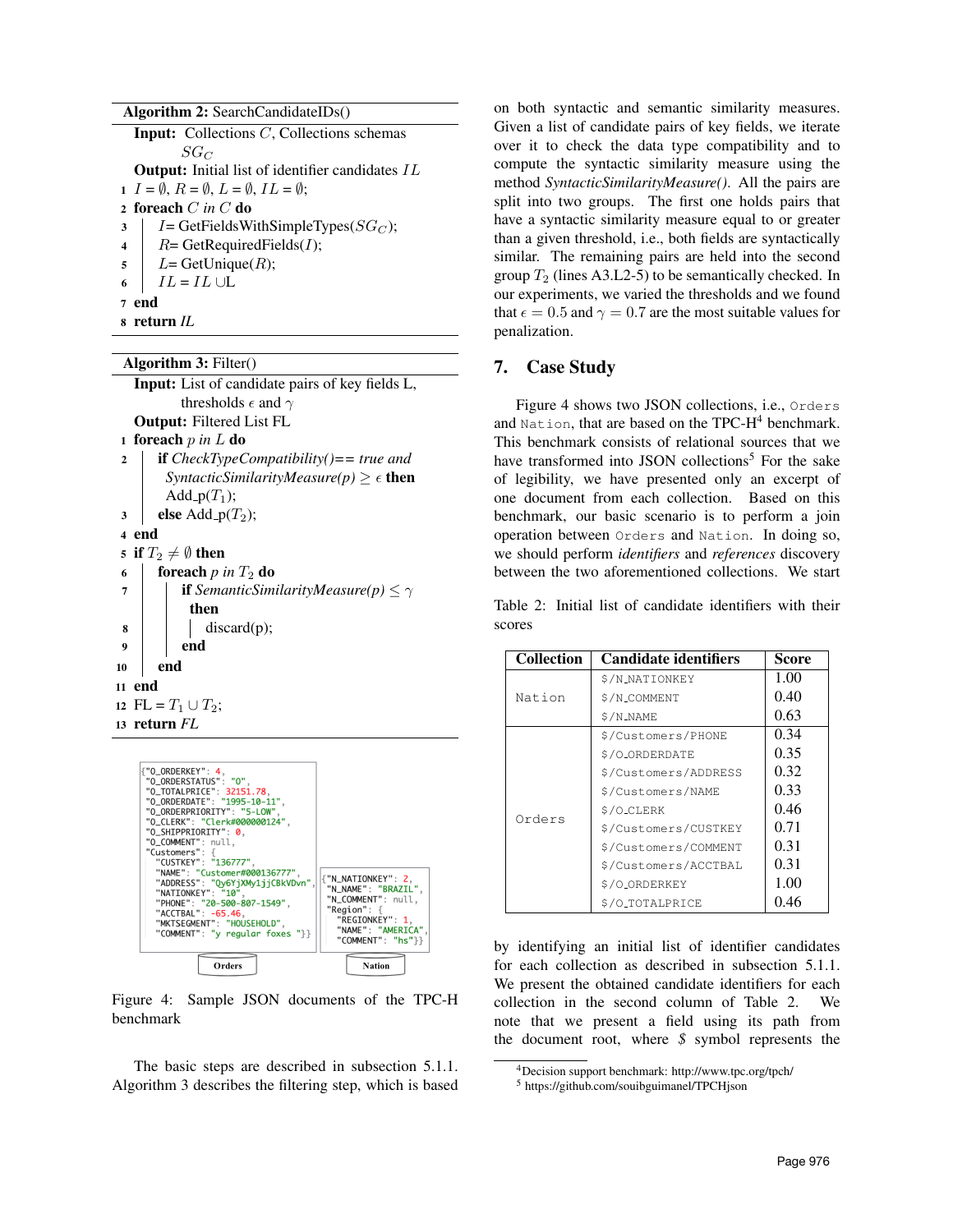<span id="page-6-1"></span>

| Algorithm 2: SearchCandidateIDs $()$                                     |
|--------------------------------------------------------------------------|
| <b>Input:</b> Collections C, Collections schemas                         |
| $SG_C$                                                                   |
| <b>Output:</b> Initial list of identifier candidates IL                  |
| $I = \emptyset$ , $R = \emptyset$ , $L = \emptyset$ , $IL = \emptyset$ ; |
| 2 foreach $C$ in $C$ do                                                  |
| $I = GetFieldsWithSimpleTypes(SG_C);$<br>3                               |
| $R = \text{GetRequiredFields}(I);$<br>$\overline{\mathbf{4}}$            |
| $L=$ GetUnique $(R)$ ;<br>$5 \quad  $                                    |
| $IL = IL \cup L$<br>6                                                    |
| end                                                                      |
| return IL                                                                |

<span id="page-6-2"></span>Algorithm 3: Filter()

Input: List of candidate pairs of key fields L, thresholds  $\epsilon$  and  $\gamma$ Output: Filtered List FL <sup>1</sup> foreach p *in* L do <sup>2</sup> if *CheckTypeCompatibility()== true and*

*SyntacticSimilarityMeasure(p)*  $\geq \epsilon$  **then** Add<sub>-p</sub> $(T_1)$ ;

```
\mathsf{3} else Add<sub>-p</sub>(T_2);
```

```
4 end
```

```
5 if T_2 \neq \emptyset then
```

```
6 foreach p in T_2 do
```

```
7 if SemanticSimilarityMeasure(p) \leq \gammathen
\mathbf{8} discard(p);
9 end
10 end
```

```
11 end
```

```
12 FL = T_1 \cup T_2;
13 return FL
```
<span id="page-6-3"></span>

Figure 4: Sample JSON documents of the TPC-H benchmark

The basic steps are described in subsection [5.1.1.](#page-3-2) Algorithm [3](#page-6-2) describes the filtering step, which is based

on both syntactic and semantic similarity measures. Given a list of candidate pairs of key fields, we iterate over it to check the data type compatibility and to compute the syntactic similarity measure using the method *SyntacticSimilarityMeasure()*. All the pairs are split into two groups. The first one holds pairs that have a syntactic similarity measure equal to or greater than a given threshold, i.e., both fields are syntactically similar. The remaining pairs are held into the second group  $T_2$  (lines A3.L2-5) to be semantically checked. In our experiments, we varied the thresholds and we found that  $\epsilon = 0.5$  and  $\gamma = 0.7$  are the most suitable values for penalization.

## <span id="page-6-0"></span>7. Case Study

Figure [4](#page-6-3) shows two JSON collections, i.e., Orders and Nation, that are based on the TPC- $H<sup>4</sup>$  benchmark. This benchmark consists of relational sources that we have transformed into JSON collections<sup>5</sup> For the sake of legibility, we have presented only an excerpt of one document from each collection. Based on this benchmark, our basic scenario is to perform a join operation between Orders and Nation. In doing so, we should perform *identifiers* and *references* discovery between the two aforementioned collections. We start

<span id="page-6-4"></span>Table 2: Initial list of candidate identifiers with their scores

| <b>Collection</b>  | <b>Candidate identifiers</b> | Score |
|--------------------|------------------------------|-------|
|                    | \$/N_NATIONKEY               | 1.00  |
| Nation             | \$/N_COMMENT                 | 0.40  |
|                    | \$/N_NAME                    | 0.63  |
| \$/Customers/PHONE |                              | 0.34  |
|                    | \$/O_ORDERDATE               | 0.35  |
| Orders             | \$/Customers/ADDRESS         | 0.32  |
|                    | \$/Customers/NAME            | 0.33  |
|                    | \$/O_CLERK                   | 0.46  |
|                    | \$/Customers/CUSTKEY         | 0.71  |
|                    | \$/Customers/COMMENT         | 0.31  |
|                    | \$/Customers/ACCTBAL         | 0.31  |
|                    | \$/O_ORDERKEY                | 1.00  |
|                    | \$/O_TOTALPRICE              | 0.46  |

by identifying an initial list of identifier candidates for each collection as described in subsection [5.1.1.](#page-3-2) We present the obtained candidate identifiers for each collection in the second column of Table [2.](#page-6-4) We note that we present a field using its path from the document root, where *\$* symbol represents the

<sup>4</sup>Decision support benchmark: http://www.tpc.org/tpch/

<sup>5</sup> <https://github.com/souibguimanel/TPCHjson>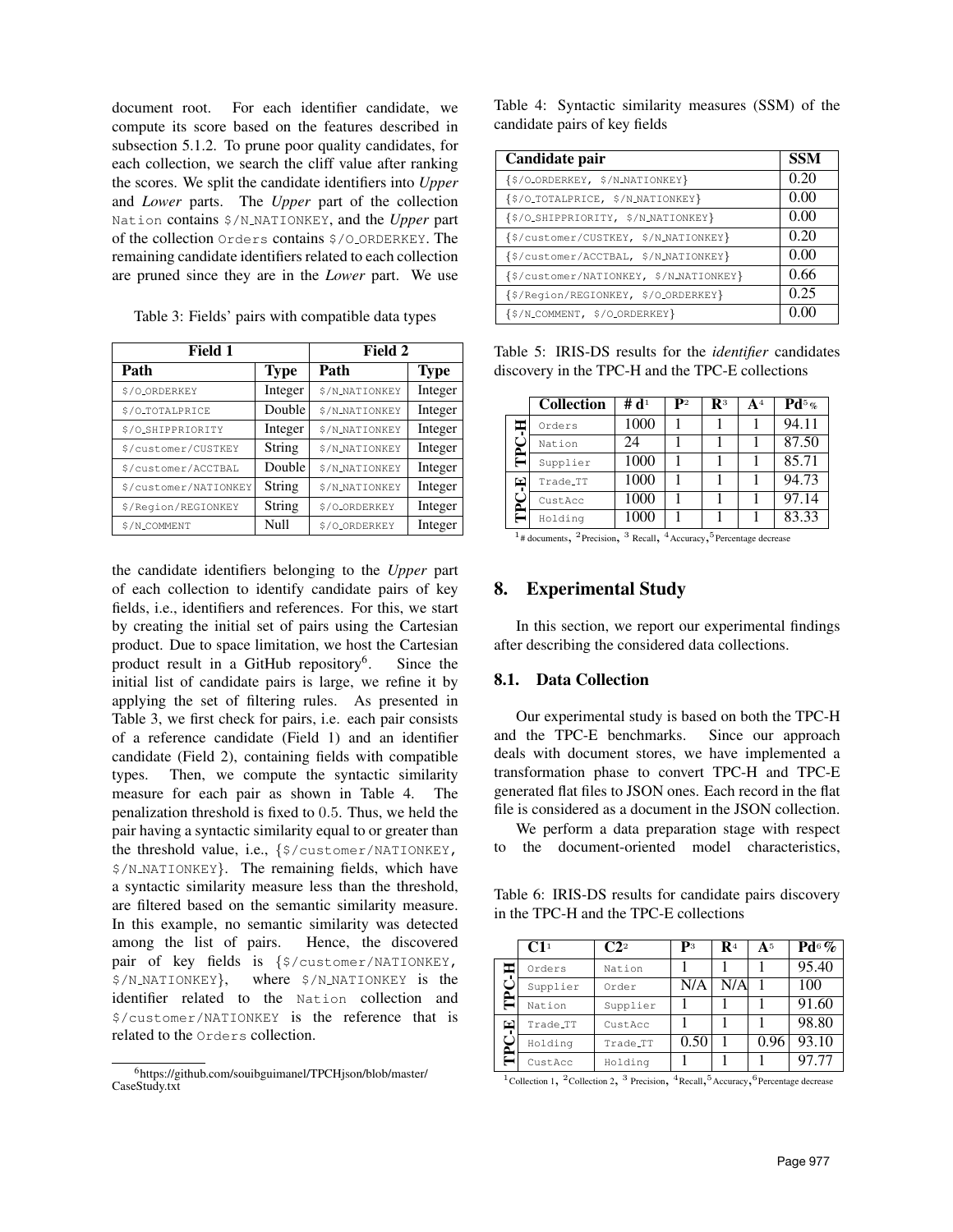document root. For each identifier candidate, we compute its score based on the features described in subsection [5.1.2.](#page-3-3) To prune poor quality candidates, for each collection, we search the cliff value after ranking the scores. We split the candidate identifiers into *Upper* and *Lower* parts. The *Upper* part of the collection Nation contains \$/N NATIONKEY, and the *Upper* part of the collection Orders contains \$/O ORDERKEY. The remaining candidate identifiers related to each collection are pruned since they are in the *Lower* part. We use

<span id="page-7-1"></span>

 $\Gamma$ 

| Field 1               | Field 2     |                |             |  |
|-----------------------|-------------|----------------|-------------|--|
| Path                  | <b>Type</b> | Path           | <b>Type</b> |  |
| \$/O_ORDERKEY         | Integer     | \$/N_NATIONKEY | Integer     |  |
| \$/O_TOTALPRICE       | Double      | \$/N_NATIONKEY | Integer     |  |
| \$/O_SHIPPRIORITY     | Integer     | \$/N_NATIONKEY | Integer     |  |
| \$/customer/CUSTKEY   | String      | \$/N_NATIONKEY | Integer     |  |
| \$/customer/ACCTBAL   | Double      | \$/N_NATIONKEY | Integer     |  |
| \$/customer/NATIONKEY | String      | \$/N_NATIONKEY | Integer     |  |
| \$/Region/REGIONKEY   | String      | \$/O_ORDERKEY  | Integer     |  |
| \$/N_COMMENT          | Null        | \$/O_ORDERKEY  | Integer     |  |

the candidate identifiers belonging to the *Upper* part of each collection to identify candidate pairs of key fields, i.e., identifiers and references. For this, we start by creating the initial set of pairs using the Cartesian product. Due to space limitation, we host the Cartesian product result in a GitHub repository<sup>6</sup>. . Since the initial list of candidate pairs is large, we refine it by applying the set of filtering rules. As presented in Table [3,](#page-7-1) we first check for pairs, i.e. each pair consists of a reference candidate (Field 1) and an identifier candidate (Field 2), containing fields with compatible types. Then, we compute the syntactic similarity measure for each pair as shown in Table [4.](#page-7-2) The penalization threshold is fixed to 0.5. Thus, we held the pair having a syntactic similarity equal to or greater than the threshold value, i.e., {\$/customer/NATIONKEY, \$/N NATIONKEY}. The remaining fields, which have a syntactic similarity measure less than the threshold, are filtered based on the semantic similarity measure. In this example, no semantic similarity was detected among the list of pairs. Hence, the discovered pair of key fields is {\$/customer/NATIONKEY, \$/N NATIONKEY}, where \$/N NATIONKEY is the identifier related to the Nation collection and \$/customer/NATIONKEY is the reference that is related to the Orders collection.

<span id="page-7-2"></span>Table 4: Syntactic similarity measures (SSM) of the candidate pairs of key fields

| Candidate pair                          | <b>SSM</b> |
|-----------------------------------------|------------|
| {\$/O_ORDERKEY, \$/N_NATIONKEY}         | 0.20       |
| {\$/O_TOTALPRICE, \$/N_NATIONKEY}       | 0.00       |
| {\$/O_SHIPPRIORITY, \$/N_NATIONKEY}     | 0.00       |
| {\$/customer/CUSTKEY, \$/N_NATIONKEY}   | 0.20       |
| {\$/customer/ACCTBAL, \$/N_NATIONKEY}   | 0.00       |
| {\$/customer/NATIONKEY, \$/N_NATIONKEY} | 0.66       |
| {\$/Region/REGIONKEY, \$/O_ORDERKEY}    | 0.25       |
| {\$/N_COMMENT, \$/O_ORDERKEY}           |            |

<span id="page-7-3"></span>Table 5: IRIS-DS results for the *identifier* candidates discovery in the TPC-H and the TPC-E collections

|    | <b>Collection</b> | # $\mathbf{d}^1$ | ${\bf p}_2$ | $\mathbf{R}^3$ | ${\bf A}^4$ | $\mathbf{Pd}^5$ % |
|----|-------------------|------------------|-------------|----------------|-------------|-------------------|
|    | Orders            | 1000             |             |                |             | 94.11             |
| Δ. | Nation            | 24               |             |                |             | 87.50             |
| Ξ  | Supplier          | 1000             |             |                |             | 85.71             |
| 囙  | Trade_TT          | 1000             |             |                |             | 94.73             |
|    | CustAcc           | 1000             |             |                |             | 97.14             |
|    | Holding           | 1000             |             |                |             | 83.33             |

<sup>1</sup># documents, <sup>2</sup>Precision, <sup>3</sup> Recall, <sup>4</sup>Accuracy, <sup>5</sup>Percentage decrease

## <span id="page-7-0"></span>8. Experimental Study

In this section, we report our experimental findings after describing the considered data collections.

#### 8.1. Data Collection

Our experimental study is based on both the TPC-H and the TPC-E benchmarks. Since our approach deals with document stores, we have implemented a transformation phase to convert TPC-H and TPC-E generated flat files to JSON ones. Each record in the flat file is considered as a document in the JSON collection.

We perform a data preparation stage with respect to the document-oriented model characteristics,

<span id="page-7-4"></span>Table 6: IRIS-DS results for candidate pairs discovery in the TPC-H and the TPC-E collections

|    | $\mathbf{C1}^1$ | $\mathbf{C}2^2$ | $\mathbf{p}_3$ | $\mathbf{R}^4$ | A <sup>5</sup> | $Pd^6$ % |
|----|-----------------|-----------------|----------------|----------------|----------------|----------|
| œ  | Orders          | Nation          |                |                |                | 95.40    |
| ő. | Supplier        | Order           | N/A            | N/A            |                | 100      |
|    | Nation          | Supplier        |                |                |                | 91.60    |
| 뛰  | Trade_TT        | CustAcc         |                |                |                | 98.80    |
| ő. | Holding         | Trade_TT        | 0.50           |                | 0.96           | 93.10    |
|    | CustAcc         | Holding         |                |                |                | 97.77    |

<sup>&</sup>lt;sup>1</sup>Collection 1, <sup>2</sup>Collection 2, <sup>3</sup> Precision, <sup>4</sup>Recall, <sup>5</sup>Accuracy, <sup>6</sup>Percentage decrease

<sup>6</sup>[https://github.com/souibguimanel/TPCHjson/blob/master/](https://github.com/souibguimanel/TPCHjson/blob/master/CaseStudy.txt) [CaseStudy.txt](https://github.com/souibguimanel/TPCHjson/blob/master/CaseStudy.txt)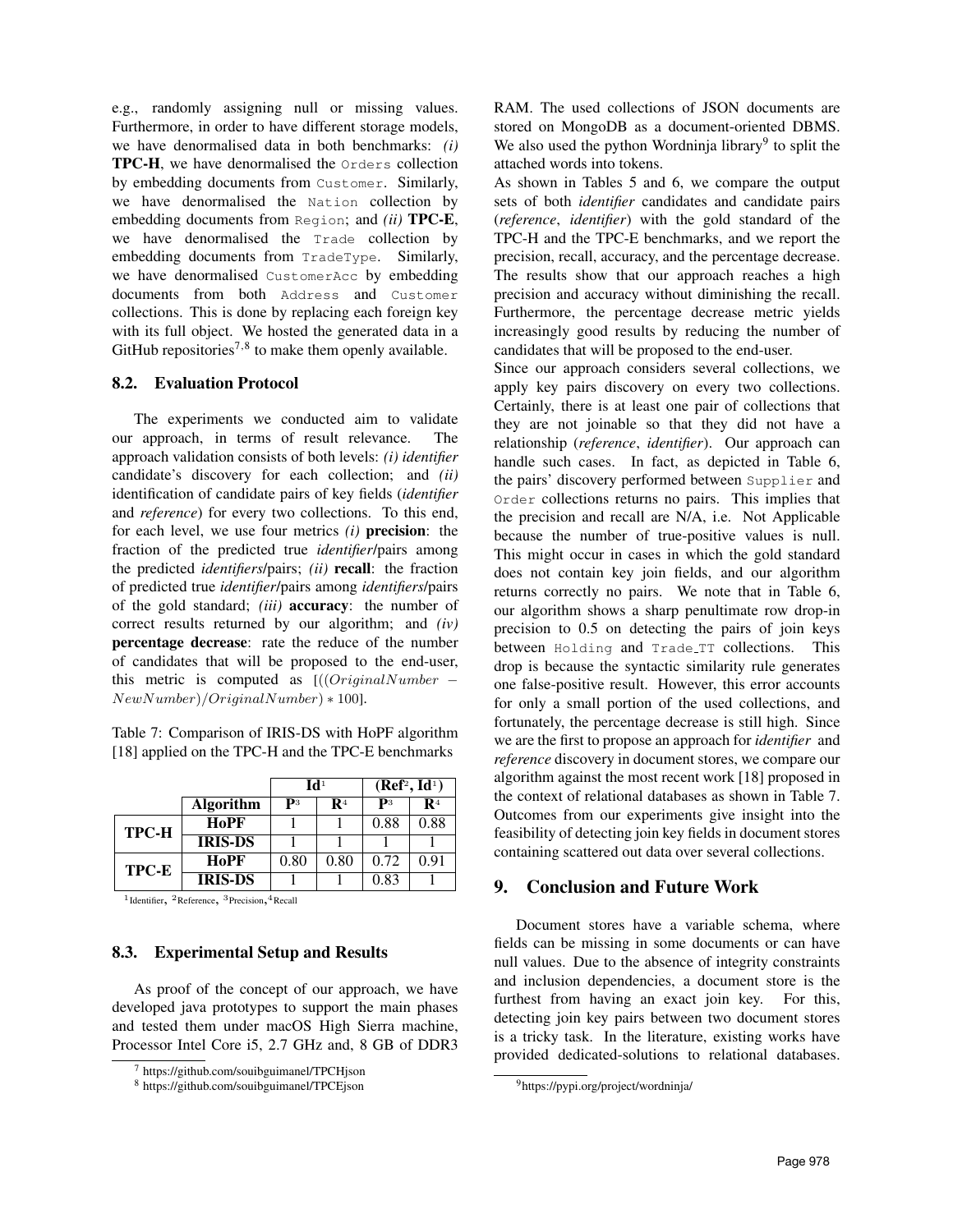e.g., randomly assigning null or missing values. Furthermore, in order to have different storage models, we have denormalised data in both benchmarks: *(i)* TPC-H, we have denormalised the Orders collection by embedding documents from Customer. Similarly, we have denormalised the Nation collection by embedding documents from Region; and *(ii)* TPC-E, we have denormalised the Trade collection by embedding documents from TradeType. Similarly, we have denormalised CustomerAcc by embedding documents from both Address and Customer collections. This is done by replacing each foreign key with its full object. We hosted the generated data in a GitHub repositories<sup>7,8</sup> to make them openly available.

#### 8.2. Evaluation Protocol

The experiments we conducted aim to validate our approach, in terms of result relevance. The approach validation consists of both levels: *(i) identifier* candidate's discovery for each collection; and *(ii)* identification of candidate pairs of key fields (*identifier* and *reference*) for every two collections. To this end, for each level, we use four metrics *(i)* precision: the fraction of the predicted true *identifier*/pairs among the predicted *identifiers*/pairs; *(ii)* recall: the fraction of predicted true *identifier*/pairs among *identifiers*/pairs of the gold standard; *(iii)* accuracy: the number of correct results returned by our algorithm; and *(iv)* percentage decrease: rate the reduce of the number of candidates that will be proposed to the end-user, this metric is computed as  $[(OriqinalNumber NewNumber)/OriginalNumber$ ) + 100].

<span id="page-8-1"></span>Table 7: Comparison of IRIS-DS with HoPF algorithm [\[18\]](#page-9-17) applied on the TPC-H and the TPC-E benchmarks

|       |                  | $\mathbf{Id}^1$ |      | (Ref <sup>2</sup> , Id <sup>1</sup> ) |      |
|-------|------------------|-----------------|------|---------------------------------------|------|
|       | <b>Algorithm</b> | $\mathbf{p}_3$  | R4   | $\mathbf{p}_3$                        | R4   |
| TPC-H | HoPF             |                 |      | 0.88                                  | 0.88 |
|       | <b>IRIS-DS</b>   |                 |      |                                       |      |
| TPC-E | HoPF             | 0.80            | 0.80 | 0.72                                  | 0.91 |
|       | <b>IRIS-DS</b>   |                 |      | 0.83                                  |      |

<sup>1</sup>Identifier, <sup>2</sup>Reference, <sup>3</sup>Precision, <sup>4</sup>Recall

#### 8.3. Experimental Setup and Results

As proof of the concept of our approach, we have developed java prototypes to support the main phases and tested them under macOS High Sierra machine, Processor Intel Core i5, 2.7 GHz and, 8 GB of DDR3 RAM. The used collections of JSON documents are stored on MongoDB as a document-oriented DBMS. We also used the python Wordninja library<sup>9</sup> to split the attached words into tokens.

As shown in Tables [5](#page-7-3) and [6,](#page-7-4) we compare the output sets of both *identifier* candidates and candidate pairs (*reference*, *identifier*) with the gold standard of the TPC-H and the TPC-E benchmarks, and we report the precision, recall, accuracy, and the percentage decrease. The results show that our approach reaches a high precision and accuracy without diminishing the recall. Furthermore, the percentage decrease metric yields increasingly good results by reducing the number of candidates that will be proposed to the end-user.

Since our approach considers several collections, we apply key pairs discovery on every two collections. Certainly, there is at least one pair of collections that they are not joinable so that they did not have a relationship (*reference*, *identifier*). Our approach can handle such cases. In fact, as depicted in Table [6,](#page-7-4) the pairs' discovery performed between Supplier and Order collections returns no pairs. This implies that the precision and recall are N/A, i.e. Not Applicable because the number of true-positive values is null. This might occur in cases in which the gold standard does not contain key join fields, and our algorithm returns correctly no pairs. We note that in Table [6,](#page-7-4) our algorithm shows a sharp penultimate row drop-in precision to 0.5 on detecting the pairs of join keys between Holding and Trade TT collections. This drop is because the syntactic similarity rule generates one false-positive result. However, this error accounts for only a small portion of the used collections, and fortunately, the percentage decrease is still high. Since we are the first to propose an approach for *identifier* and *reference* discovery in document stores, we compare our algorithm against the most recent work [\[18\]](#page-9-17) proposed in the context of relational databases as shown in Table [7.](#page-8-1) Outcomes from our experiments give insight into the feasibility of detecting join key fields in document stores containing scattered out data over several collections.

### <span id="page-8-0"></span>9. Conclusion and Future Work

Document stores have a variable schema, where fields can be missing in some documents or can have null values. Due to the absence of integrity constraints and inclusion dependencies, a document store is the furthest from having an exact join key. For this, detecting join key pairs between two document stores is a tricky task. In the literature, existing works have provided dedicated-solutions to relational databases.

<sup>7</sup> <https://github.com/souibguimanel/TPCHjson>

<sup>8</sup> <https://github.com/souibguimanel/TPCEjson>

<sup>9</sup>https://pypi.org/project/wordninja/